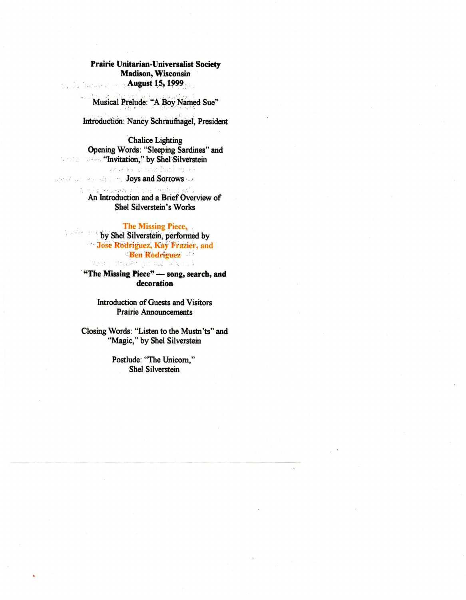Prairie Unitarian-Universalist Society **Madison, Wisconsin** August 15, 1999

Musical Prelude: "A Boy Named Sue"

 $\sim$  10

Introduction: Nancy Schraufnagel, President

**Chalice Lighting** Opening Words: "Sleeping Sardines" and **Example 21 "Invitation,"** by Shel Silverstein

Over iam and over seas. **Exclusive Service Law Joys and Sorrows** chalochan' ini missin'i cien

An Introduction and a Brief Overview of Shel Silverstein's Works

## The Missing Piece,

by Shel Silverstein, performed by Jose Rodriguez, Kay Frazier, and **Ben Rodriguez** theory bar an animal and state

> "The Missing Piece" - song, search, and decoration

> > Introduction of Guests and Visitors **Prairie Announcements**

Closing Words: "Listen to the Mustn'ts" and "Magic," by Shel Silverstein

> Postlude: "The Unicorn," **Shel Silverstein**